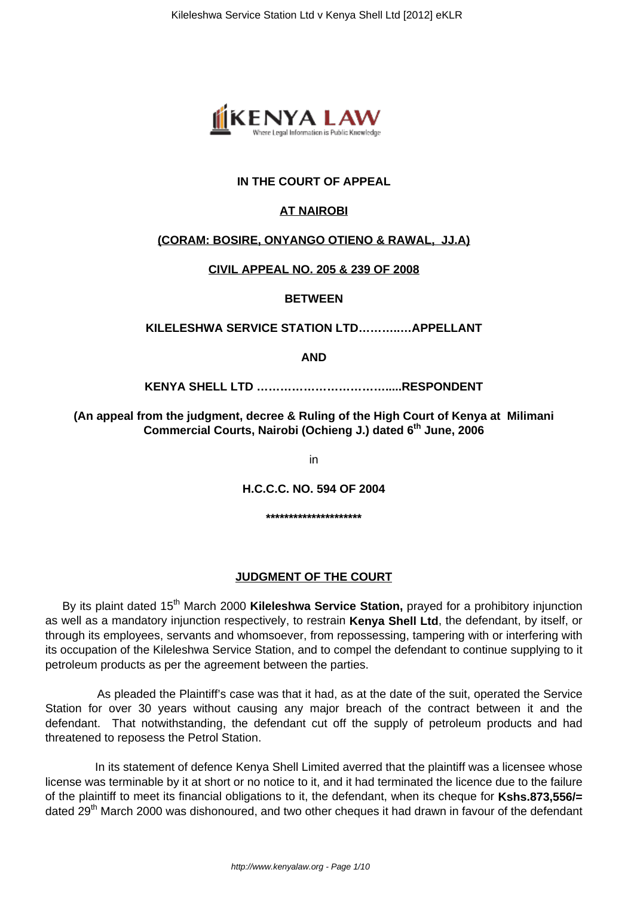

# **IN THE COURT OF APPEAL**

# **AT NAIROBI**

#### **(CORAM: BOSIRE, ONYANGO OTIENO & RAWAL, JJ.A)**

#### **CIVIL APPEAL NO. 205 & 239 OF 2008**

**BETWEEN**

#### **KILELESHWA SERVICE STATION LTD………..…APPELLANT**

**AND**

**KENYA SHELL LTD …………………………….....RESPONDENT**

**(An appeal from the judgment, decree & Ruling of the High Court of Kenya at Milimani Commercial Courts, Nairobi (Ochieng J.) dated 6th June, 2006**

in

**H.C.C.C. NO. 594 OF 2004**

**\*\*\*\*\*\*\*\*\*\*\*\*\*\*\*\*\*\*\*\*\***

#### **JUDGMENT OF THE COURT**

By its plaint dated 15<sup>th</sup> March 2000 **Kileleshwa Service Station**, prayed for a prohibitory injunction as well as a mandatory injunction respectively, to restrain **Kenya Shell Ltd**, the defendant, by itself, or through its employees, servants and whomsoever, from repossessing, tampering with or interfering with its occupation of the Kileleshwa Service Station, and to compel the defendant to continue supplying to it petroleum products as per the agreement between the parties.

 As pleaded the Plaintiff's case was that it had, as at the date of the suit, operated the Service Station for over 30 years without causing any major breach of the contract between it and the defendant. That notwithstanding, the defendant cut off the supply of petroleum products and had threatened to reposess the Petrol Station.

 In its statement of defence Kenya Shell Limited averred that the plaintiff was a licensee whose license was terminable by it at short or no notice to it, and it had terminated the licence due to the failure of the plaintiff to meet its financial obligations to it, the defendant, when its cheque for **Kshs.873,556/=** dated 29<sup>th</sup> March 2000 was dishonoured, and two other cheques it had drawn in favour of the defendant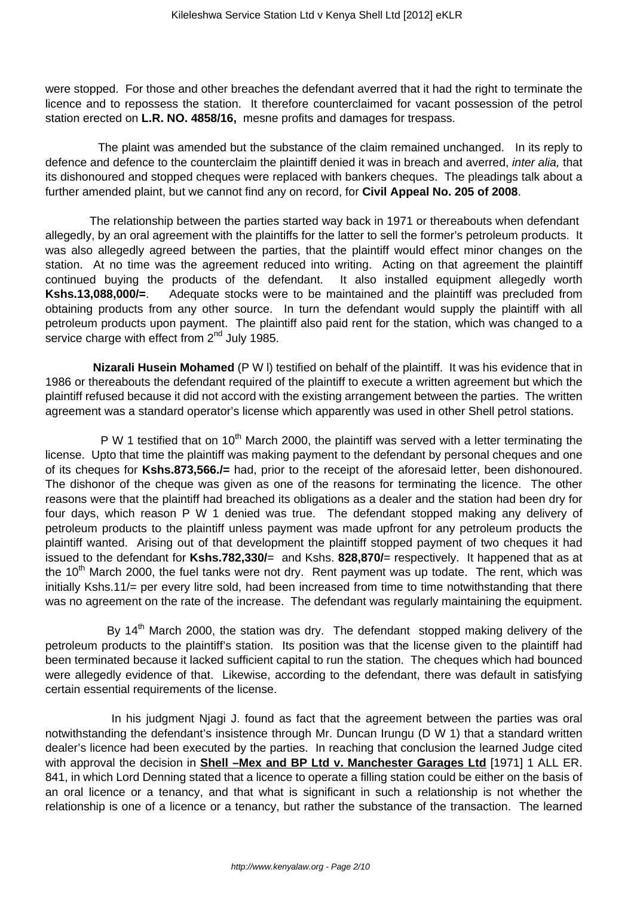were stopped. For those and other breaches the defendant averred that it had the right to terminate the licence and to repossess the station. It therefore counterclaimed for vacant possession of the petrol station erected on **L.R. NO. 4858/16,** mesne profits and damages for trespass.

 The plaint was amended but the substance of the claim remained unchanged. In its reply to defence and defence to the counterclaim the plaintiff denied it was in breach and averred, *inter alia*, that its dishonoured and stopped cheques were replaced with bankers cheques. The pleadings talk about a further amended plaint, but we cannot find any on record, for **Civil Appeal No. 205 of 2008**.

 The relationship between the parties started way back in 1971 or thereabouts when defendant allegedly, by an oral agreement with the plaintiffs for the latter to sell the former's petroleum products. It was also allegedly agreed between the parties, that the plaintiff would effect minor changes on the station. At no time was the agreement reduced into writing. Acting on that agreement the plaintiff continued buying the products of the defendant. It also installed equipment allegedly worth **Kshs.13,088,000/=**. Adequate stocks were to be maintained and the plaintiff was precluded from obtaining products from any other source. In turn the defendant would supply the plaintiff with all petroleum products upon payment. The plaintiff also paid rent for the station, which was changed to a service charge with effect from 2<sup>nd</sup> July 1985.

**Nizarali Husein Mohamed** (P W l) testified on behalf of the plaintiff. It was his evidence that in 1986 or thereabouts the defendant required of the plaintiff to execute a written agreement but which the plaintiff refused because it did not accord with the existing arrangement between the parties. The written agreement was a standard operator's license which apparently was used in other Shell petrol stations.

P W 1 testified that on  $10<sup>th</sup>$  March 2000, the plaintiff was served with a letter terminating the license. Upto that time the plaintiff was making payment to the defendant by personal cheques and one of its cheques for **Kshs.873,566./=** had, prior to the receipt of the aforesaid letter, been dishonoured. The dishonor of the cheque was given as one of the reasons for terminating the licence. The other reasons were that the plaintiff had breached its obligations as a dealer and the station had been dry for four days, which reason P W 1 denied was true. The defendant stopped making any delivery of petroleum products to the plaintiff unless payment was made upfront for any petroleum products the plaintiff wanted. Arising out of that development the plaintiff stopped payment of two cheques it had issued to the defendant for **Kshs.782,330/**= and Kshs. **828,870/**= respectively. It happened that as at the  $10<sup>th</sup>$  March 2000, the fuel tanks were not dry. Rent payment was up todate. The rent, which was initially Kshs.11/= per every litre sold, had been increased from time to time notwithstanding that there was no agreement on the rate of the increase. The defendant was regularly maintaining the equipment.

By 14<sup>th</sup> March 2000, the station was dry. The defendant stopped making delivery of the petroleum products to the plaintiff's station. Its position was that the license given to the plaintiff had been terminated because it lacked sufficient capital to run the station. The cheques which had bounced were allegedly evidence of that. Likewise, according to the defendant, there was default in satisfying certain essential requirements of the license.

 In his judgment Njagi J. found as fact that the agreement between the parties was oral notwithstanding the defendant's insistence through Mr. Duncan Irungu (D W 1) that a standard written dealer's licence had been executed by the parties. In reaching that conclusion the learned Judge cited with approval the decision in **Shell –Mex and BP Ltd v. Manchester Garages Ltd** [1971] 1 ALL ER. 841, in which Lord Denning stated that a licence to operate a filling station could be either on the basis of an oral licence or a tenancy, and that what is significant in such a relationship is not whether the relationship is one of a licence or a tenancy, but rather the substance of the transaction. The learned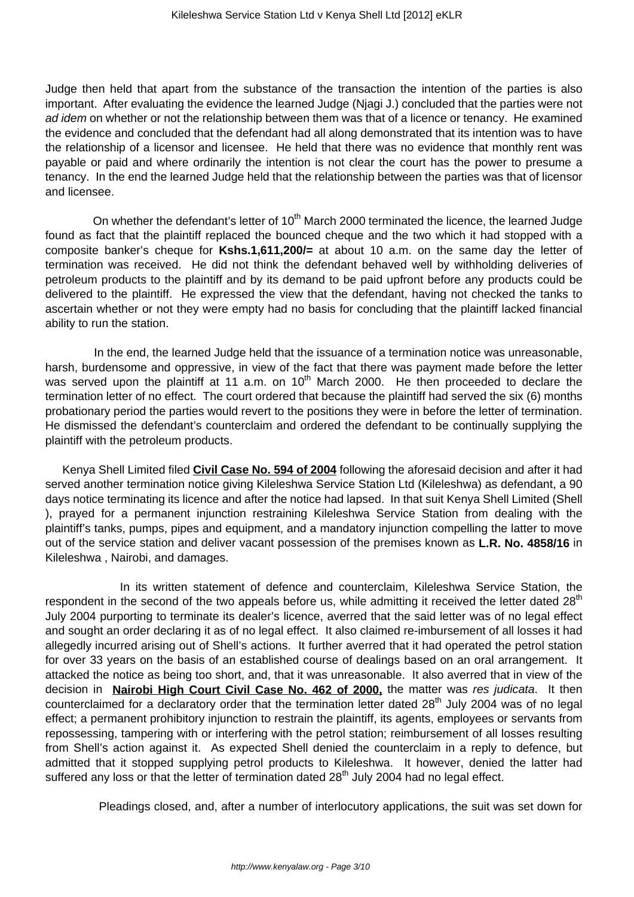Judge then held that apart from the substance of the transaction the intention of the parties is also important. After evaluating the evidence the learned Judge (Njagi J.) concluded that the parties were not ad idem on whether or not the relationship between them was that of a licence or tenancy. He examined the evidence and concluded that the defendant had all along demonstrated that its intention was to have the relationship of a licensor and licensee. He held that there was no evidence that monthly rent was payable or paid and where ordinarily the intention is not clear the court has the power to presume a tenancy. In the end the learned Judge held that the relationship between the parties was that of licensor and licensee.

On whether the defendant's letter of 10<sup>th</sup> March 2000 terminated the licence, the learned Judge found as fact that the plaintiff replaced the bounced cheque and the two which it had stopped with a composite banker's cheque for **Kshs.1,611,200/=** at about 10 a.m. on the same day the letter of termination was received. He did not think the defendant behaved well by withholding deliveries of petroleum products to the plaintiff and by its demand to be paid upfront before any products could be delivered to the plaintiff. He expressed the view that the defendant, having not checked the tanks to ascertain whether or not they were empty had no basis for concluding that the plaintiff lacked financial ability to run the station.

 In the end, the learned Judge held that the issuance of a termination notice was unreasonable, harsh, burdensome and oppressive, in view of the fact that there was payment made before the letter was served upon the plaintiff at 11 a.m. on  $10<sup>th</sup>$  March 2000. He then proceeded to declare the termination letter of no effect. The court ordered that because the plaintiff had served the six (6) months probationary period the parties would revert to the positions they were in before the letter of termination. He dismissed the defendant's counterclaim and ordered the defendant to be continually supplying the plaintiff with the petroleum products.

Kenya Shell Limited filed **Civil Case No. 594 of 2004** following the aforesaid decision and after it had served another termination notice giving Kileleshwa Service Station Ltd (Kileleshwa) as defendant, a 90 days notice terminating its licence and after the notice had lapsed. In that suit Kenya Shell Limited (Shell ), prayed for a permanent injunction restraining Kileleshwa Service Station from dealing with the plaintiff's tanks, pumps, pipes and equipment, and a mandatory injunction compelling the latter to move out of the service station and deliver vacant possession of the premises known as **L.R. No. 4858/16** in Kileleshwa , Nairobi, and damages.

 In its written statement of defence and counterclaim, Kileleshwa Service Station, the respondent in the second of the two appeals before us, while admitting it received the letter dated 28<sup>th</sup> July 2004 purporting to terminate its dealer's licence, averred that the said letter was of no legal effect and sought an order declaring it as of no legal effect. It also claimed re-imbursement of all losses it had allegedly incurred arising out of Shell's actions. It further averred that it had operated the petrol station for over 33 years on the basis of an established course of dealings based on an oral arrangement. It attacked the notice as being too short, and, that it was unreasonable. It also averred that in view of the decision in **Nairobi High Court Civil Case No. 462 of 2000,** the matter was res judicata. It then counterclaimed for a declaratory order that the termination letter dated 28<sup>th</sup> July 2004 was of no legal effect; a permanent prohibitory injunction to restrain the plaintiff, its agents, employees or servants from repossessing, tampering with or interfering with the petrol station; reimbursement of all losses resulting from Shell's action against it. As expected Shell denied the counterclaim in a reply to defence, but admitted that it stopped supplying petrol products to Kileleshwa. It however, denied the latter had suffered any loss or that the letter of termination dated  $28<sup>th</sup>$  July 2004 had no legal effect.

Pleadings closed, and, after a number of interlocutory applications, the suit was set down for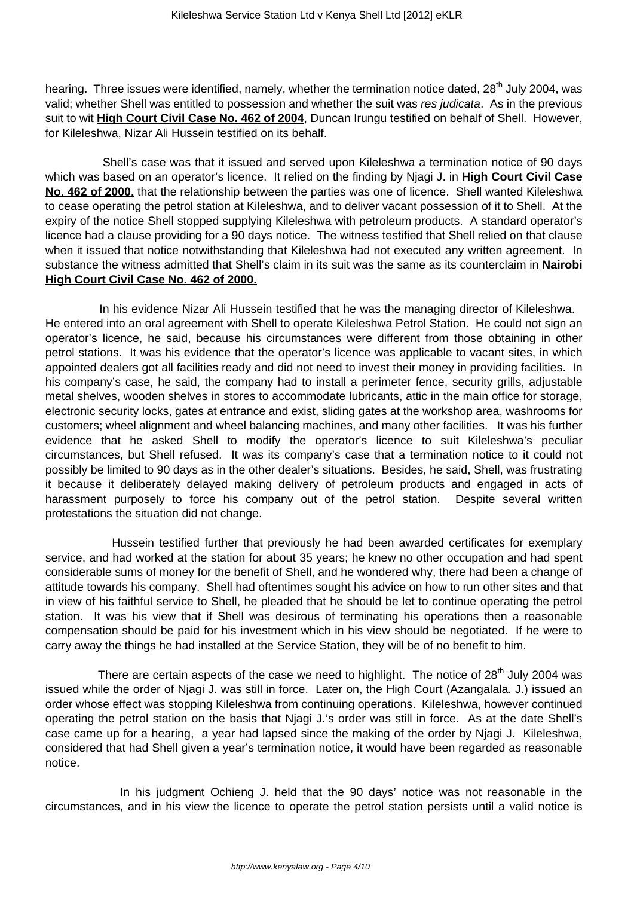hearing. Three issues were identified, namely, whether the termination notice dated, 28<sup>th</sup> July 2004, was valid; whether Shell was entitled to possession and whether the suit was res judicata. As in the previous suit to wit **High Court Civil Case No. 462 of 2004**, Duncan Irungu testified on behalf of Shell. However, for Kileleshwa, Nizar Ali Hussein testified on its behalf.

 Shell's case was that it issued and served upon Kileleshwa a termination notice of 90 days which was based on an operator's licence. It relied on the finding by Njagi J. in **High Court Civil Case No. 462 of 2000,** that the relationship between the parties was one of licence. Shell wanted Kileleshwa to cease operating the petrol station at Kileleshwa, and to deliver vacant possession of it to Shell. At the expiry of the notice Shell stopped supplying Kileleshwa with petroleum products. A standard operator's licence had a clause providing for a 90 days notice. The witness testified that Shell relied on that clause when it issued that notice notwithstanding that Kileleshwa had not executed any written agreement. In substance the witness admitted that Shell's claim in its suit was the same as its counterclaim in **Nairobi High Court Civil Case No. 462 of 2000.**

 In his evidence Nizar Ali Hussein testified that he was the managing director of Kileleshwa. He entered into an oral agreement with Shell to operate Kileleshwa Petrol Station. He could not sign an operator's licence, he said, because his circumstances were different from those obtaining in other petrol stations. It was his evidence that the operator's licence was applicable to vacant sites, in which appointed dealers got all facilities ready and did not need to invest their money in providing facilities. In his company's case, he said, the company had to install a perimeter fence, security grills, adjustable metal shelves, wooden shelves in stores to accommodate lubricants, attic in the main office for storage, electronic security locks, gates at entrance and exist, sliding gates at the workshop area, washrooms for customers; wheel alignment and wheel balancing machines, and many other facilities. It was his further evidence that he asked Shell to modify the operator's licence to suit Kileleshwa's peculiar circumstances, but Shell refused. It was its company's case that a termination notice to it could not possibly be limited to 90 days as in the other dealer's situations. Besides, he said, Shell, was frustrating it because it deliberately delayed making delivery of petroleum products and engaged in acts of harassment purposely to force his company out of the petrol station. Despite several written protestations the situation did not change.

 Hussein testified further that previously he had been awarded certificates for exemplary service, and had worked at the station for about 35 years; he knew no other occupation and had spent considerable sums of money for the benefit of Shell, and he wondered why, there had been a change of attitude towards his company. Shell had oftentimes sought his advice on how to run other sites and that in view of his faithful service to Shell, he pleaded that he should be let to continue operating the petrol station. It was his view that if Shell was desirous of terminating his operations then a reasonable compensation should be paid for his investment which in his view should be negotiated. If he were to carry away the things he had installed at the Service Station, they will be of no benefit to him.

There are certain aspects of the case we need to highlight. The notice of  $28<sup>th</sup>$  July 2004 was issued while the order of Njagi J. was still in force. Later on, the High Court (Azangalala. J.) issued an order whose effect was stopping Kileleshwa from continuing operations. Kileleshwa, however continued operating the petrol station on the basis that Njagi J.'s order was still in force. As at the date Shell's case came up for a hearing, a year had lapsed since the making of the order by Njagi J. Kileleshwa, considered that had Shell given a year's termination notice, it would have been regarded as reasonable notice.

 In his judgment Ochieng J. held that the 90 days' notice was not reasonable in the circumstances, and in his view the licence to operate the petrol station persists until a valid notice is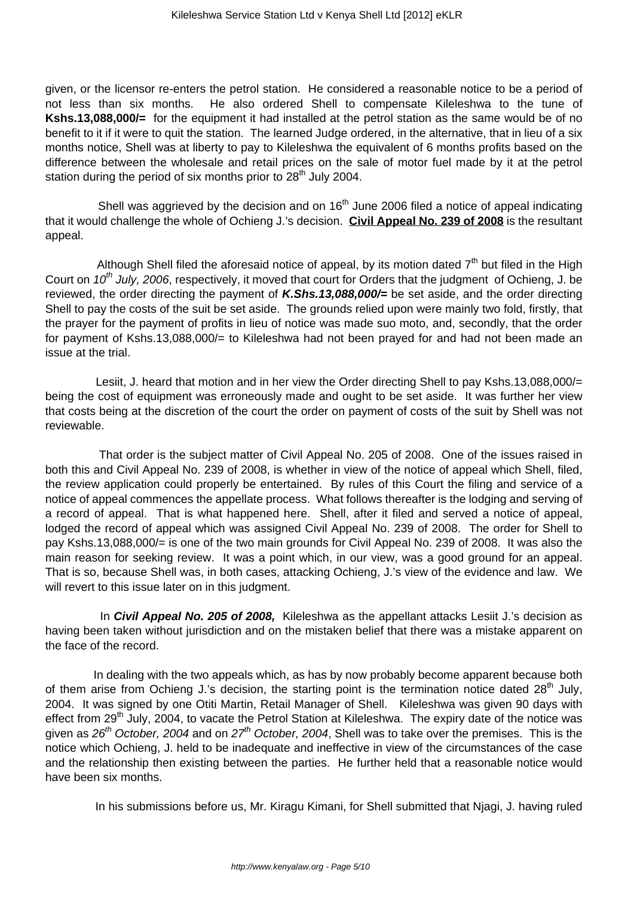given, or the licensor re-enters the petrol station. He considered a reasonable notice to be a period of not less than six months. He also ordered Shell to compensate Kileleshwa to the tune of **Kshs.13,088,000/=** for the equipment it had installed at the petrol station as the same would be of no benefit to it if it were to quit the station. The learned Judge ordered, in the alternative, that in lieu of a six months notice, Shell was at liberty to pay to Kileleshwa the equivalent of 6 months profits based on the difference between the wholesale and retail prices on the sale of motor fuel made by it at the petrol station during the period of six months prior to  $28<sup>th</sup>$  July 2004.

Shell was aggrieved by the decision and on  $16<sup>th</sup>$  June 2006 filed a notice of appeal indicating that it would challenge the whole of Ochieng J.'s decision. **Civil Appeal No. 239 of 2008** is the resultant appeal.

Although Shell filed the aforesaid notice of appeal, by its motion dated  $7<sup>th</sup>$  but filed in the High Court on  $10^{th}$  July, 2006, respectively, it moved that court for Orders that the judgment of Ochieng, J. be reviewed, the order directing the payment of **K.Shs.13,088,000/=** be set aside, and the order directing Shell to pay the costs of the suit be set aside. The grounds relied upon were mainly two fold, firstly, that the prayer for the payment of profits in lieu of notice was made suo moto, and, secondly, that the order for payment of Kshs.13,088,000/= to Kileleshwa had not been prayed for and had not been made an issue at the trial.

 Lesiit, J. heard that motion and in her view the Order directing Shell to pay Kshs.13,088,000/= being the cost of equipment was erroneously made and ought to be set aside. It was further her view that costs being at the discretion of the court the order on payment of costs of the suit by Shell was not reviewable.

 That order is the subject matter of Civil Appeal No. 205 of 2008. One of the issues raised in both this and Civil Appeal No. 239 of 2008, is whether in view of the notice of appeal which Shell, filed, the review application could properly be entertained. By rules of this Court the filing and service of a notice of appeal commences the appellate process. What follows thereafter is the lodging and serving of a record of appeal. That is what happened here. Shell, after it filed and served a notice of appeal, lodged the record of appeal which was assigned Civil Appeal No. 239 of 2008. The order for Shell to pay Kshs.13,088,000/= is one of the two main grounds for Civil Appeal No. 239 of 2008. It was also the main reason for seeking review. It was a point which, in our view, was a good ground for an appeal. That is so, because Shell was, in both cases, attacking Ochieng, J.'s view of the evidence and law. We will revert to this issue later on in this judgment.

 In **Civil Appeal No. 205 of 2008,** Kileleshwa as the appellant attacks Lesiit J.'s decision as having been taken without jurisdiction and on the mistaken belief that there was a mistake apparent on the face of the record.

 In dealing with the two appeals which, as has by now probably become apparent because both of them arise from Ochieng J.'s decision, the starting point is the termination notice dated  $28<sup>th</sup>$  July, 2004. It was signed by one Otiti Martin, Retail Manager of Shell. Kileleshwa was given 90 days with effect from 29<sup>th</sup> July, 2004, to vacate the Petrol Station at Kileleshwa. The expiry date of the notice was given as  $26^{th}$  October, 2004 and on  $27^{th}$  October, 2004, Shell was to take over the premises. This is the notice which Ochieng, J. held to be inadequate and ineffective in view of the circumstances of the case and the relationship then existing between the parties. He further held that a reasonable notice would have been six months.

In his submissions before us, Mr. Kiragu Kimani, for Shell submitted that Njagi, J. having ruled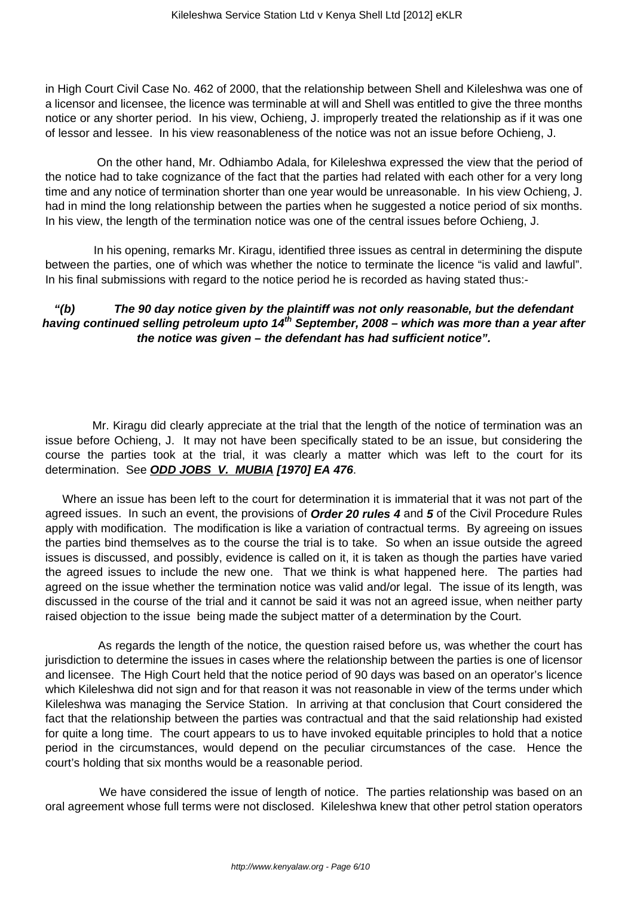in High Court Civil Case No. 462 of 2000, that the relationship between Shell and Kileleshwa was one of a licensor and licensee, the licence was terminable at will and Shell was entitled to give the three months notice or any shorter period. In his view, Ochieng, J. improperly treated the relationship as if it was one of lessor and lessee. In his view reasonableness of the notice was not an issue before Ochieng, J.

 On the other hand, Mr. Odhiambo Adala, for Kileleshwa expressed the view that the period of the notice had to take cognizance of the fact that the parties had related with each other for a very long time and any notice of termination shorter than one year would be unreasonable. In his view Ochieng, J. had in mind the long relationship between the parties when he suggested a notice period of six months. In his view, the length of the termination notice was one of the central issues before Ochieng, J.

 In his opening, remarks Mr. Kiragu, identified three issues as central in determining the dispute between the parties, one of which was whether the notice to terminate the licence "is valid and lawful". In his final submissions with regard to the notice period he is recorded as having stated thus:-

# **"(b) The 90 day notice given by the plaintiff was not only reasonable, but the defendant having continued selling petroleum upto 14th September, 2008 – which was more than a year after the notice was given – the defendant has had sufficient notice".**

 Mr. Kiragu did clearly appreciate at the trial that the length of the notice of termination was an issue before Ochieng, J. It may not have been specifically stated to be an issue, but considering the course the parties took at the trial, it was clearly a matter which was left to the court for its determination. See **ODD JOBS V. MUBIA [1970] EA 476**.

Where an issue has been left to the court for determination it is immaterial that it was not part of the agreed issues. In such an event, the provisions of **Order 20 rules 4** and **5** of the Civil Procedure Rules apply with modification. The modification is like a variation of contractual terms. By agreeing on issues the parties bind themselves as to the course the trial is to take. So when an issue outside the agreed issues is discussed, and possibly, evidence is called on it, it is taken as though the parties have varied the agreed issues to include the new one. That we think is what happened here. The parties had agreed on the issue whether the termination notice was valid and/or legal. The issue of its length, was discussed in the course of the trial and it cannot be said it was not an agreed issue, when neither party raised objection to the issue being made the subject matter of a determination by the Court.

 As regards the length of the notice, the question raised before us, was whether the court has jurisdiction to determine the issues in cases where the relationship between the parties is one of licensor and licensee. The High Court held that the notice period of 90 days was based on an operator's licence which Kileleshwa did not sign and for that reason it was not reasonable in view of the terms under which Kileleshwa was managing the Service Station. In arriving at that conclusion that Court considered the fact that the relationship between the parties was contractual and that the said relationship had existed for quite a long time. The court appears to us to have invoked equitable principles to hold that a notice period in the circumstances, would depend on the peculiar circumstances of the case. Hence the court's holding that six months would be a reasonable period.

 We have considered the issue of length of notice. The parties relationship was based on an oral agreement whose full terms were not disclosed. Kileleshwa knew that other petrol station operators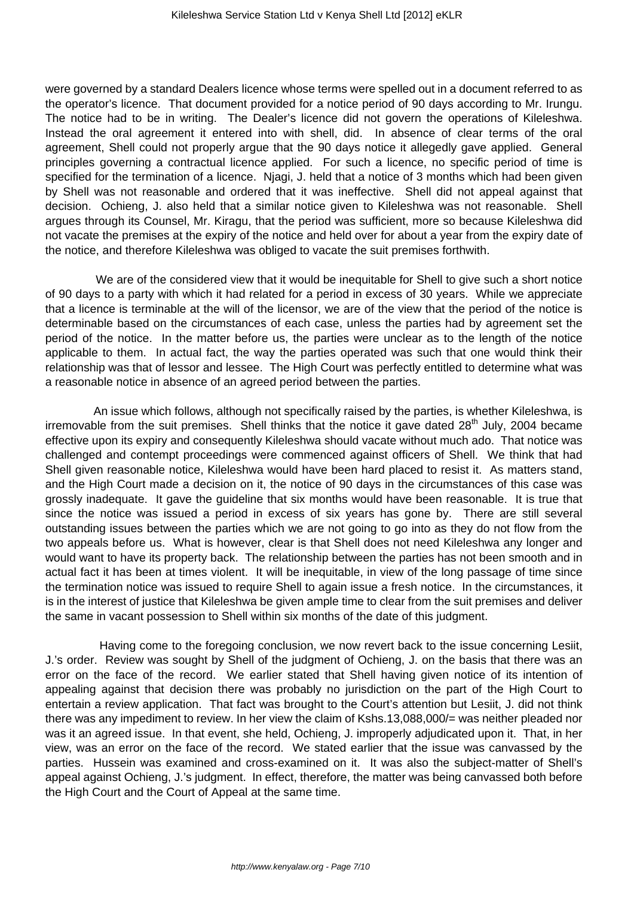were governed by a standard Dealers licence whose terms were spelled out in a document referred to as the operator's licence. That document provided for a notice period of 90 days according to Mr. Irungu. The notice had to be in writing. The Dealer's licence did not govern the operations of Kileleshwa. Instead the oral agreement it entered into with shell, did. In absence of clear terms of the oral agreement, Shell could not properly argue that the 90 days notice it allegedly gave applied. General principles governing a contractual licence applied. For such a licence, no specific period of time is specified for the termination of a licence. Njagi, J. held that a notice of 3 months which had been given by Shell was not reasonable and ordered that it was ineffective. Shell did not appeal against that decision. Ochieng, J. also held that a similar notice given to Kileleshwa was not reasonable. Shell argues through its Counsel, Mr. Kiragu, that the period was sufficient, more so because Kileleshwa did not vacate the premises at the expiry of the notice and held over for about a year from the expiry date of the notice, and therefore Kileleshwa was obliged to vacate the suit premises forthwith.

 We are of the considered view that it would be inequitable for Shell to give such a short notice of 90 days to a party with which it had related for a period in excess of 30 years. While we appreciate that a licence is terminable at the will of the licensor, we are of the view that the period of the notice is determinable based on the circumstances of each case, unless the parties had by agreement set the period of the notice. In the matter before us, the parties were unclear as to the length of the notice applicable to them. In actual fact, the way the parties operated was such that one would think their relationship was that of lessor and lessee. The High Court was perfectly entitled to determine what was a reasonable notice in absence of an agreed period between the parties.

 An issue which follows, although not specifically raised by the parties, is whether Kileleshwa, is irremovable from the suit premises. Shell thinks that the notice it gave dated  $28<sup>th</sup>$  July, 2004 became effective upon its expiry and consequently Kileleshwa should vacate without much ado. That notice was challenged and contempt proceedings were commenced against officers of Shell. We think that had Shell given reasonable notice, Kileleshwa would have been hard placed to resist it. As matters stand, and the High Court made a decision on it, the notice of 90 days in the circumstances of this case was grossly inadequate. It gave the guideline that six months would have been reasonable. It is true that since the notice was issued a period in excess of six years has gone by. There are still several outstanding issues between the parties which we are not going to go into as they do not flow from the two appeals before us. What is however, clear is that Shell does not need Kileleshwa any longer and would want to have its property back. The relationship between the parties has not been smooth and in actual fact it has been at times violent. It will be inequitable, in view of the long passage of time since the termination notice was issued to require Shell to again issue a fresh notice. In the circumstances, it is in the interest of justice that Kileleshwa be given ample time to clear from the suit premises and deliver the same in vacant possession to Shell within six months of the date of this judgment.

 Having come to the foregoing conclusion, we now revert back to the issue concerning Lesiit, J.'s order. Review was sought by Shell of the judgment of Ochieng, J. on the basis that there was an error on the face of the record. We earlier stated that Shell having given notice of its intention of appealing against that decision there was probably no jurisdiction on the part of the High Court to entertain a review application. That fact was brought to the Court's attention but Lesiit, J. did not think there was any impediment to review. In her view the claim of Kshs.13,088,000/= was neither pleaded nor was it an agreed issue. In that event, she held, Ochieng, J. improperly adjudicated upon it. That, in her view, was an error on the face of the record. We stated earlier that the issue was canvassed by the parties. Hussein was examined and cross-examined on it. It was also the subject-matter of Shell's appeal against Ochieng, J.'s judgment. In effect, therefore, the matter was being canvassed both before the High Court and the Court of Appeal at the same time.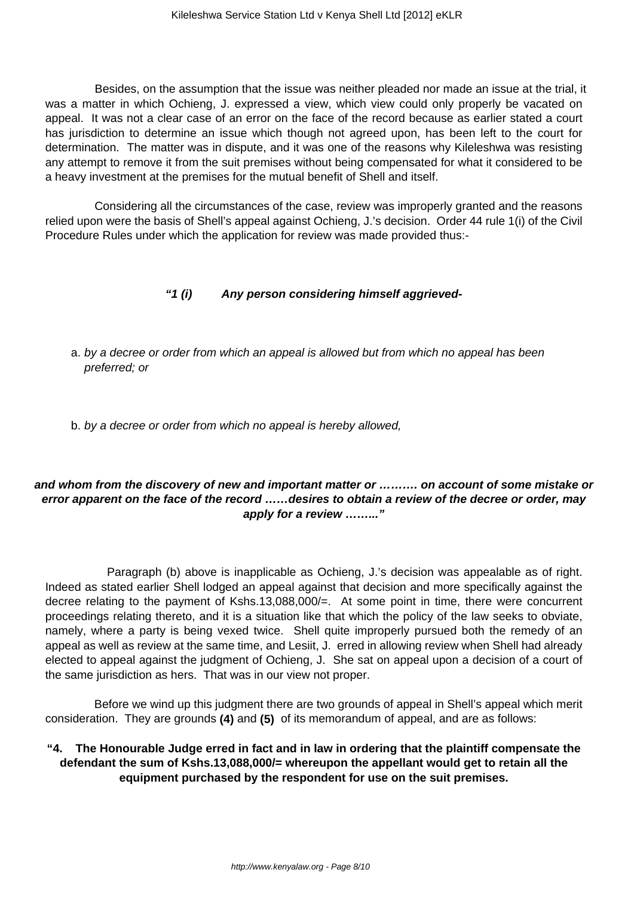Besides, on the assumption that the issue was neither pleaded nor made an issue at the trial, it was a matter in which Ochieng, J. expressed a view, which view could only properly be vacated on appeal. It was not a clear case of an error on the face of the record because as earlier stated a court has jurisdiction to determine an issue which though not agreed upon, has been left to the court for determination. The matter was in dispute, and it was one of the reasons why Kileleshwa was resisting any attempt to remove it from the suit premises without being compensated for what it considered to be a heavy investment at the premises for the mutual benefit of Shell and itself.

 Considering all the circumstances of the case, review was improperly granted and the reasons relied upon were the basis of Shell's appeal against Ochieng, J.'s decision. Order 44 rule 1(i) of the Civil Procedure Rules under which the application for review was made provided thus:-

# **"1 (i) Any person considering himself aggrieved-**

a. by a decree or order from which an appeal is allowed but from which no appeal has been preferred; or

b. by a decree or order from which no appeal is hereby allowed,

# **and whom from the discovery of new and important matter or ………. on account of some mistake or error apparent on the face of the record ……desires to obtain a review of the decree or order, may apply for a review ……..."**

 Paragraph (b) above is inapplicable as Ochieng, J.'s decision was appealable as of right. Indeed as stated earlier Shell lodged an appeal against that decision and more specifically against the decree relating to the payment of Kshs.13,088,000/=. At some point in time, there were concurrent proceedings relating thereto, and it is a situation like that which the policy of the law seeks to obviate, namely, where a party is being vexed twice. Shell quite improperly pursued both the remedy of an appeal as well as review at the same time, and Lesiit, J. erred in allowing review when Shell had already elected to appeal against the judgment of Ochieng, J. She sat on appeal upon a decision of a court of the same jurisdiction as hers. That was in our view not proper.

 Before we wind up this judgment there are two grounds of appeal in Shell's appeal which merit consideration. They are grounds **(4)** and **(5)** of its memorandum of appeal, and are as follows:

# **"4. The Honourable Judge erred in fact and in law in ordering that the plaintiff compensate the defendant the sum of Kshs.13,088,000/= whereupon the appellant would get to retain all the equipment purchased by the respondent for use on the suit premises.**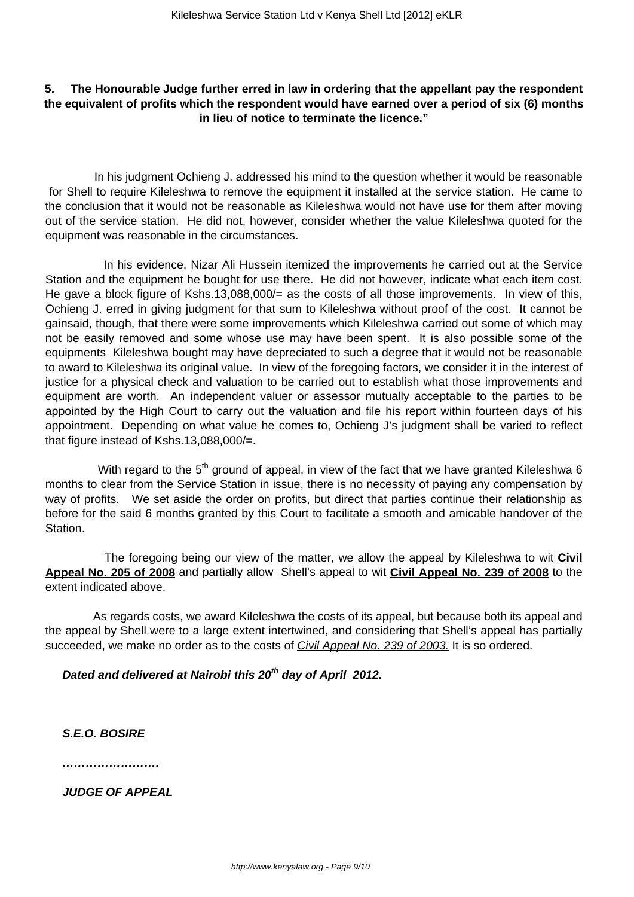#### **5. The Honourable Judge further erred in law in ordering that the appellant pay the respondent the equivalent of profits which the respondent would have earned over a period of six (6) months in lieu of notice to terminate the licence."**

 In his judgment Ochieng J. addressed his mind to the question whether it would be reasonable for Shell to require Kileleshwa to remove the equipment it installed at the service station. He came to the conclusion that it would not be reasonable as Kileleshwa would not have use for them after moving out of the service station. He did not, however, consider whether the value Kileleshwa quoted for the equipment was reasonable in the circumstances.

 In his evidence, Nizar Ali Hussein itemized the improvements he carried out at the Service Station and the equipment he bought for use there. He did not however, indicate what each item cost. He gave a block figure of Kshs.13,088,000/= as the costs of all those improvements. In view of this, Ochieng J. erred in giving judgment for that sum to Kileleshwa without proof of the cost. It cannot be gainsaid, though, that there were some improvements which Kileleshwa carried out some of which may not be easily removed and some whose use may have been spent. It is also possible some of the equipments Kileleshwa bought may have depreciated to such a degree that it would not be reasonable to award to Kileleshwa its original value. In view of the foregoing factors, we consider it in the interest of justice for a physical check and valuation to be carried out to establish what those improvements and equipment are worth. An independent valuer or assessor mutually acceptable to the parties to be appointed by the High Court to carry out the valuation and file his report within fourteen days of his appointment. Depending on what value he comes to, Ochieng J's judgment shall be varied to reflect that figure instead of Kshs.13,088,000/=.

With regard to the  $5<sup>th</sup>$  ground of appeal, in view of the fact that we have granted Kileleshwa 6 months to clear from the Service Station in issue, there is no necessity of paying any compensation by way of profits. We set aside the order on profits, but direct that parties continue their relationship as before for the said 6 months granted by this Court to facilitate a smooth and amicable handover of the Station.

 The foregoing being our view of the matter, we allow the appeal by Kileleshwa to wit **Civil Appeal No. 205 of 2008** and partially allow Shell's appeal to wit **Civil Appeal No. 239 of 2008** to the extent indicated above.

 As regards costs, we award Kileleshwa the costs of its appeal, but because both its appeal and the appeal by Shell were to a large extent intertwined, and considering that Shell's appeal has partially succeeded, we make no order as to the costs of *Civil Appeal No. 239 of 2003*. It is so ordered.

**Dated and delivered at Nairobi this 20th day of April 2012.**

**S.E.O. BOSIRE**

**…………………….**

**JUDGE OF APPEAL**